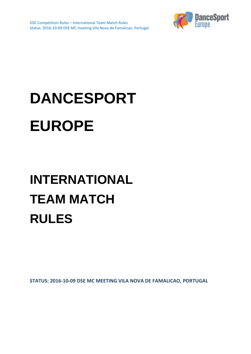

# **DANCESPORT EUROPE**

# **INTERNATIONAL TEAM MATCH RULES**

**STATUS: 2016-10-09 DSE MC MEETING VILA NOVA DE FAMALICAO, PORTUGAL**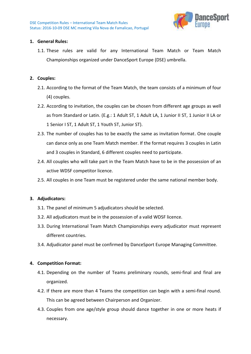

#### **1. General Rules:**

1.1. These rules are valid for any International Team Match or Team Match Championships organized under DanceSport Europe (DSE) umbrella.

#### **2. Couples:**

- 2.1. According to the format of the Team Match, the team consists of a minimum of four (4) couples.
- 2.2. According to invitation, the couples can be chosen from different age groups as well as from Standard or Latin. (E.g.: 1 Adult ST, 1 Adult LA, 1 Junior II ST, 1 Junior II LA or 1 Senior I ST, 1 Adult ST, 1 Youth ST, Junior ST).
- 2.3. The number of couples has to be exactly the same as invitation format. One couple can dance only as one Team Match member. If the format requires 3 couples in Latin and 3 couples in Standard, 6 different couples need to participate.
- 2.4. All couples who will take part in the Team Match have to be in the possession of an active WDSF competitor licence.
- 2.5. All couples in one Team must be registered under the same national member body.

#### **3. Adjudicators:**

- 3.1. The panel of minimum 5 adjudicators should be selected.
- 3.2. All adjudicators must be in the possession of a valid WDSF licence.
- 3.3. During International Team Match Championships every adjudicator must represent different countries.
- 3.4. Adjudicator panel must be confirmed by DanceSport Europe Managing Committee.

#### **4. Competition Format:**

- 4.1. Depending on the number of Teams preliminary rounds, semi-final and final are organized.
- 4.2. If there are more than 4 Teams the competition can begin with a semi-final round. This can be agreed between Chairperson and Organizer.
- 4.3. Couples from one age/style group should dance together in one or more heats if necessary.